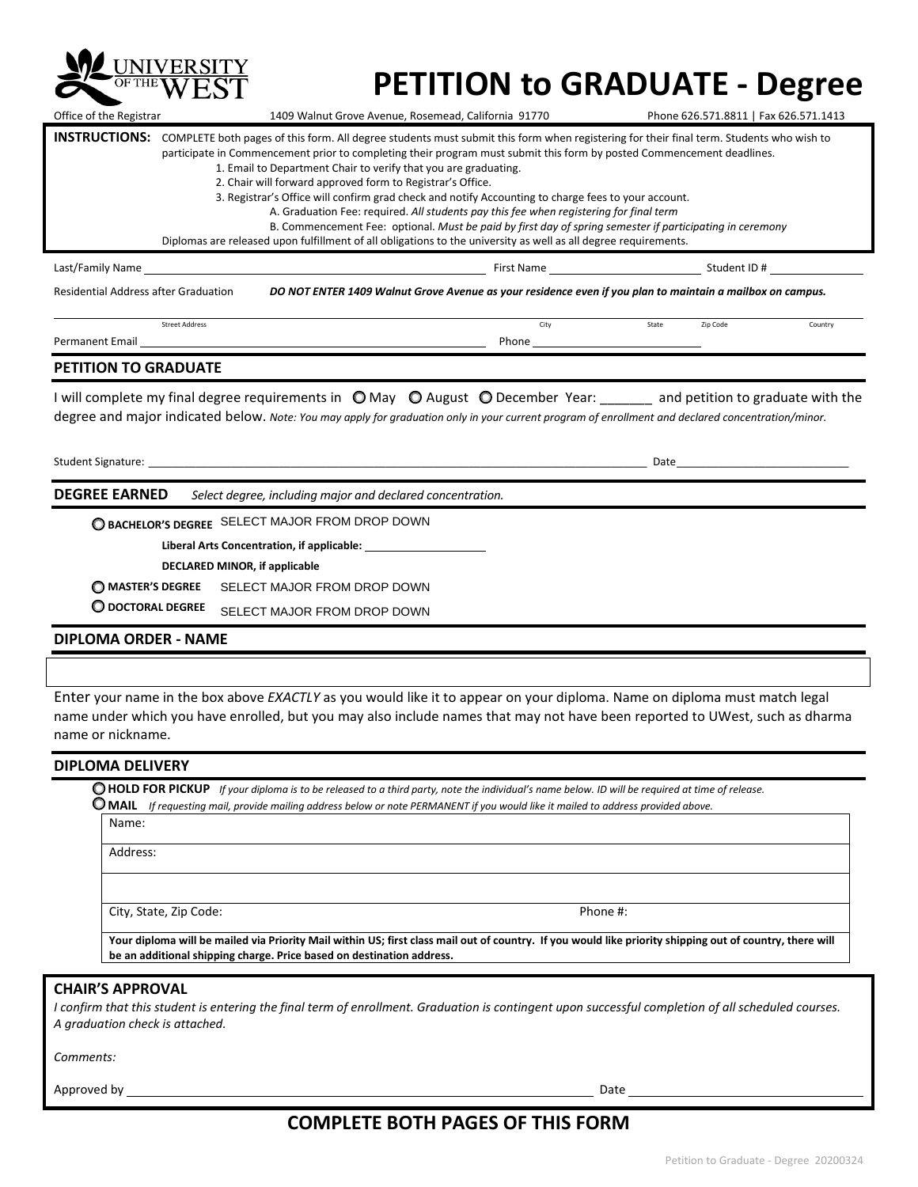

## **PETITION to GRADUATE - Degree**

| <b>PETITION TO GRADUATE</b>                                                                                                                                                                                                                                                                                                                                                                                                                                                                                                                                                                                                                                                                                                                                                                                                                               |                                                      |            |       |                                       |         |  |
|-----------------------------------------------------------------------------------------------------------------------------------------------------------------------------------------------------------------------------------------------------------------------------------------------------------------------------------------------------------------------------------------------------------------------------------------------------------------------------------------------------------------------------------------------------------------------------------------------------------------------------------------------------------------------------------------------------------------------------------------------------------------------------------------------------------------------------------------------------------|------------------------------------------------------|------------|-------|---------------------------------------|---------|--|
|                                                                                                                                                                                                                                                                                                                                                                                                                                                                                                                                                                                                                                                                                                                                                                                                                                                           |                                                      |            |       |                                       |         |  |
| Permanent Email                                                                                                                                                                                                                                                                                                                                                                                                                                                                                                                                                                                                                                                                                                                                                                                                                                           |                                                      | Phone      |       |                                       |         |  |
|                                                                                                                                                                                                                                                                                                                                                                                                                                                                                                                                                                                                                                                                                                                                                                                                                                                           | <b>Street Address</b>                                | City       | State | Zip Code                              | Country |  |
| Residential Address after Graduation<br>DO NOT ENTER 1409 Walnut Grove Avenue as your residence even if you plan to maintain a mailbox on campus.                                                                                                                                                                                                                                                                                                                                                                                                                                                                                                                                                                                                                                                                                                         |                                                      |            |       |                                       |         |  |
| Last/Family Name                                                                                                                                                                                                                                                                                                                                                                                                                                                                                                                                                                                                                                                                                                                                                                                                                                          |                                                      | First Name |       | Student ID #                          |         |  |
| <b>INSTRUCTIONS:</b><br>COMPLETE both pages of this form. All degree students must submit this form when registering for their final term. Students who wish to<br>participate in Commencement prior to completing their program must submit this form by posted Commencement deadlines.<br>1. Email to Department Chair to verify that you are graduating.<br>2. Chair will forward approved form to Registrar's Office.<br>3. Registrar's Office will confirm grad check and notify Accounting to charge fees to your account.<br>A. Graduation Fee: required. All students pay this fee when registering for final term<br>B. Commencement Fee: optional. Must be paid by first day of spring semester if participating in ceremony<br>Diplomas are released upon fulfillment of all obligations to the university as well as all degree requirements. |                                                      |            |       |                                       |         |  |
| Office of the Registrar                                                                                                                                                                                                                                                                                                                                                                                                                                                                                                                                                                                                                                                                                                                                                                                                                                   | 1409 Walnut Grove Avenue, Rosemead, California 91770 |            |       | Phone 626.571.8811   Fax 626.571.1413 |         |  |

I will complete my final degree requirements in  $\bigcirc$  May  $\bigcirc$  August  $\bigcirc$  December Year: \_\_\_\_\_\_ and petition to graduate with the degree and major indicated below. *Note: You may apply for graduation only in your current program of enrollment and declared concentration/minor.*

Student Signature: \_\_\_\_\_\_\_\_\_\_\_\_\_\_\_\_\_\_\_\_\_\_\_\_\_\_\_\_\_\_\_\_\_\_\_\_\_\_\_\_\_\_\_\_\_\_\_\_\_\_\_\_\_\_\_\_\_\_\_\_\_\_\_\_\_\_\_\_\_\_\_\_\_\_\_\_\_\_\_\_\_\_\_\_ Date\_\_\_\_\_\_\_\_\_\_\_\_\_\_\_\_\_\_\_\_\_\_\_\_\_\_\_\_\_

**DEGREE EARNED** *Select degree, including major and declared concentration.* 

**BACHELOR'S DEGREE** SELECT MAJOR FROM DROP DOWN

**Liberal Arts Concentration, if applicable:** 

**DECLARED MINOR, if applicable** 

**MASTER'S DEGREE**  SELECT MAJOR FROM DROP DOWN

**DOCTORAL DEGREE**  SELECT MAJOR FROM DROP DOWN

#### **DIPLOMA ORDER - NAME**

Enter your name in the box above *EXACTLY* as you would like it to appear on your diploma. Name on diploma must match legal name under which you have enrolled, but you may also include names that may not have been reported to UWest, such as dharma name or nickname.

#### **DIPLOMA DELIVERY**

**HOLD FOR PICKUP** *If your diploma is to be released to a third party, note the individual's name below. ID will be required at time of release.* **MAIL** *If requesting mail, provide mailing address below or note PERMANENT if you would like it mailed to address provided above.*

Name:

Address:

City, State, Zip Code: Phone #:

**Your diploma will be mailed via Priority Mail within US; first class mail out of country. If you would like priority shipping out of country, there will be an additional shipping charge. Price based on destination address.** 

#### **CHAIR'S APPROVAL**

*I confirm that this student is entering the final term of enrollment. Graduation is contingent upon successful completion of all scheduled courses. A graduation check is attached.* 

*Comments:* 

Approved by Date

### **COMPLETE BOTH PAGES OF THIS FORM**